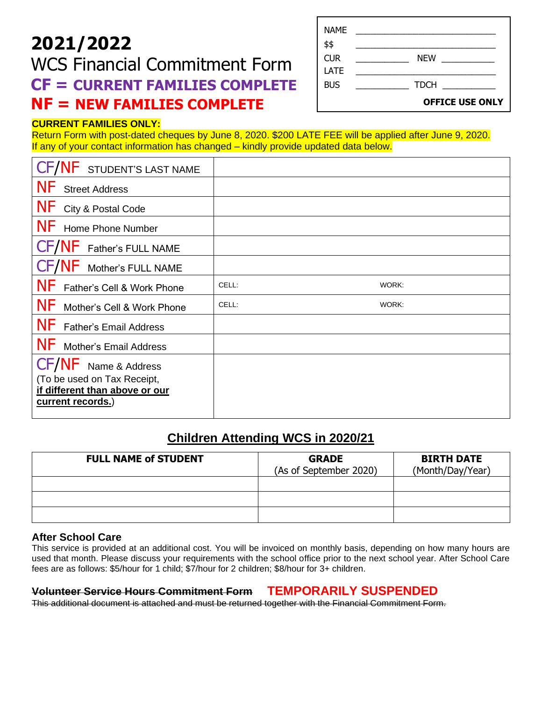# **2021/2022**

## WCS Financial Commitment Form  **CF = CURRENT FAMILIES COMPLETE NF = NEW FAMILIES COMPLETE**

| NAME<br>\$\$       |                        |
|--------------------|------------------------|
| <b>CUR</b><br>LATE | <b>NEW</b>             |
| <b>BUS</b>         | <b>TDCH</b>            |
|                    | <b>OFFICE USE ONLY</b> |

#### **CURRENT FAMILIES ONLY:**

Return Form with post-dated cheques by June 8, 2020. \$200 LATE FEE will be applied after June 9, 2020. If any of your contact information has changed – kindly provide updated data below.

| <b>VF</b> STUDENT'S LAST NAME              |       |       |
|--------------------------------------------|-------|-------|
| <b>NF</b><br><b>Street Address</b>         |       |       |
| <b>NF</b><br>City & Postal Code            |       |       |
| <b>NF</b><br>Home Phone Number             |       |       |
| CF/NF Father's FULL NAME                   |       |       |
| CF/NF Mother's FULL NAME                   |       |       |
| <b>NF</b><br>Father's Cell & Work Phone    | CELL: | WORK: |
| <b>NF</b><br>Mother's Cell & Work Phone    | CELL: | WORK: |
| <b>NF</b><br><b>Father's Email Address</b> |       |       |
| NF Mother's Email Address                  |       |       |
| CF/NF<br>Name & Address                    |       |       |
| (To be used on Tax Receipt,                |       |       |
| if different than above or our             |       |       |
| current records.)                          |       |       |

### **Children Attending WCS in 2020/21**

| <b>FULL NAME of STUDENT</b> | <b>GRADE</b><br>(As of September 2020) | <b>BIRTH DATE</b><br>(Month/Day/Year) |
|-----------------------------|----------------------------------------|---------------------------------------|
|                             |                                        |                                       |
|                             |                                        |                                       |
|                             |                                        |                                       |

#### **After School Care**

This service is provided at an additional cost. You will be invoiced on monthly basis, depending on how many hours are used that month. Please discuss your requirements with the school office prior to the next school year. After School Care fees are as follows: \$5/hour for 1 child; \$7/hour for 2 children; \$8/hour for 3+ children.

#### **Volunteer Service Hours Commitment Form TEMPORARILY SUSPENDED**

This additional document is attached and must be returned together with the Financial Commitment Form.